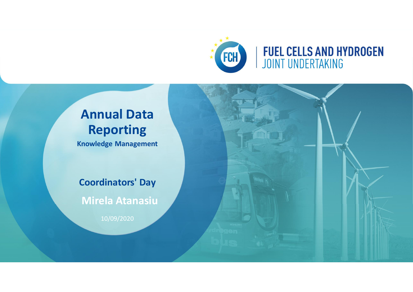

# **Annual Data Reporting**

**Knowledge Management**

**Coordinators' Day**

**Mirela Atanasiu**

10/09/2020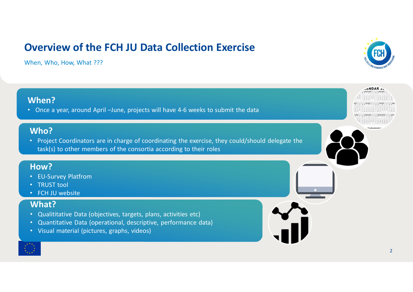### **Overview of the FCH JU Data Collection Exercise**

When, Who, How, What ???



**FNDAR** 26 February 2018<br>March 2018

freshcalendar

#### **When?**

• Once a year, around April –June, projects will have 4-6 weeks to submit the data

#### **Who?**

• Project Coordinators are in charge of coordinating the exercise, they could/should delegate the task(s) to other members of the consortia according to their roles

#### **How?**

- EU-Survey Platfrom
- TRUST tool
- FCH JU website

#### **What?**

- Qualititative Data (objectives, targets, plans, activities etc)
- Quantitative Data (operational, descriptive, performance data)
- Visual material (pictures, graphs, videos)

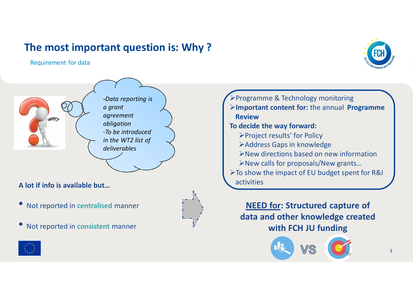### **The most important question is: Why ?**

Requirement for data



NHYS

*-Data reporting is a grant agreement obligation -To be introduced in the WT2 list of deliverables*

**A lot if info is available but…**

- Not reported in **centralised** manner
- Not reported in **consistent** manner

⋅Programme & Technology monitoring ⋅**Important content for:** the annual **Programme Review To decide the way forward:** ⋅Project results' for Policy ⋅Address Gaps in knowledge ⋅New directions based on new information ⋅New calls for proposals/New grants… ⋅To show the impact of EU budget spent for R&I activities

**NEED for: Structured capture of data and other knowledge created with FCH JU funding**





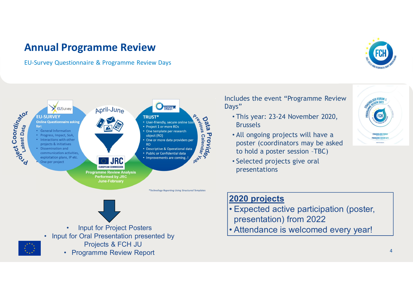### **Annual Programme Review**

EU-Survey Questionnaire & Programme Review Days





- **Input for Project Posters**
- Input for Oral Presentation presented by



- Projects & FCH JU
- Programme Review Report

Includes the event "Programme Review Days"

- This year: 23-24 November 2020, **Brussels**
- All ongoing projects will have a poster (coordinators may be asked to hold a poster session –TBC)
- Selected projects give oral presentations



#### **2020 projects**

- Expected active participation (poster, presentation) from 2022
- Attendance is welcomed every year!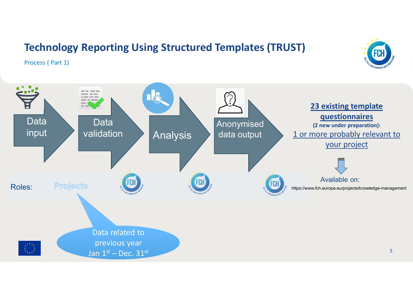### **Technology Reporting Using Structured Templates (TRUST)**

Process ( Part 1)



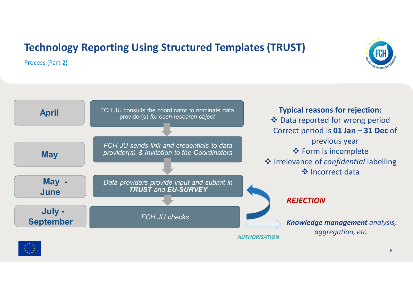# **Technology Reporting Using Structured Templates (TRUST)**

Process (Part 2)



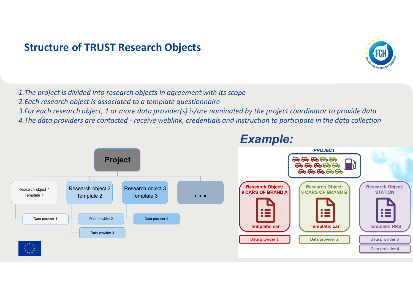### **Structure of TRUST Research Objects**

*1.The project is divided into research objects in agreement with its scope 2.Each research object is associated to a template questionnaire*

*3.For each research object, 1 or more data provider(s) is/are nominated by the project coordinator to provide data*

*4.The data providers are contacted - receive weblink, credentials and instruction to participate in the data collection*